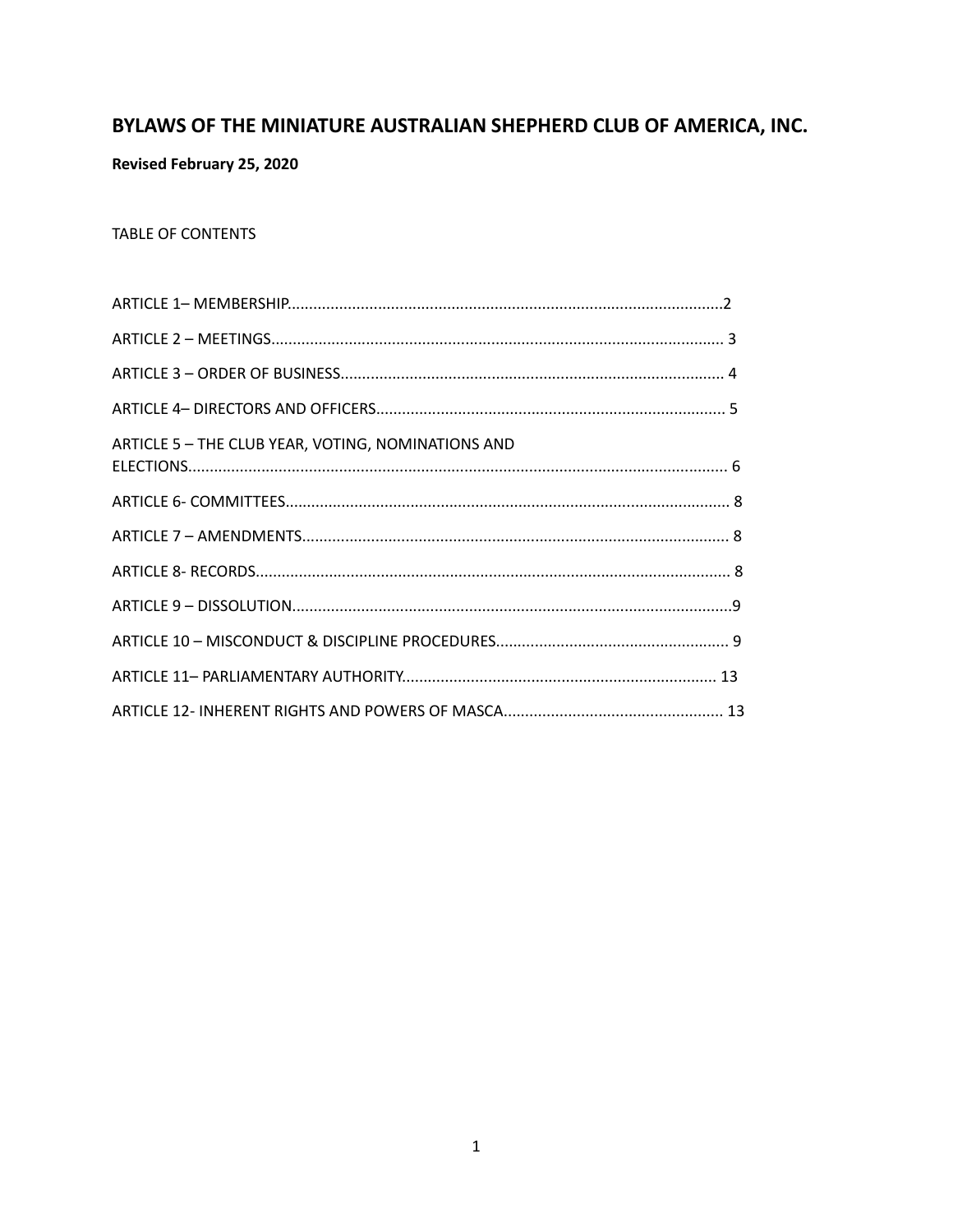# BYLAWS OF THE MINIATURE AUSTRALIAN SHEPHERD CLUB OF AMERICA, INC.

**Revised February 25, 2020** 

# TABLE OF CONTENTS

| ARTICLE 5 - THE CLUB YEAR, VOTING, NOMINATIONS AND |  |
|----------------------------------------------------|--|
|                                                    |  |
|                                                    |  |
|                                                    |  |
|                                                    |  |
|                                                    |  |
|                                                    |  |
|                                                    |  |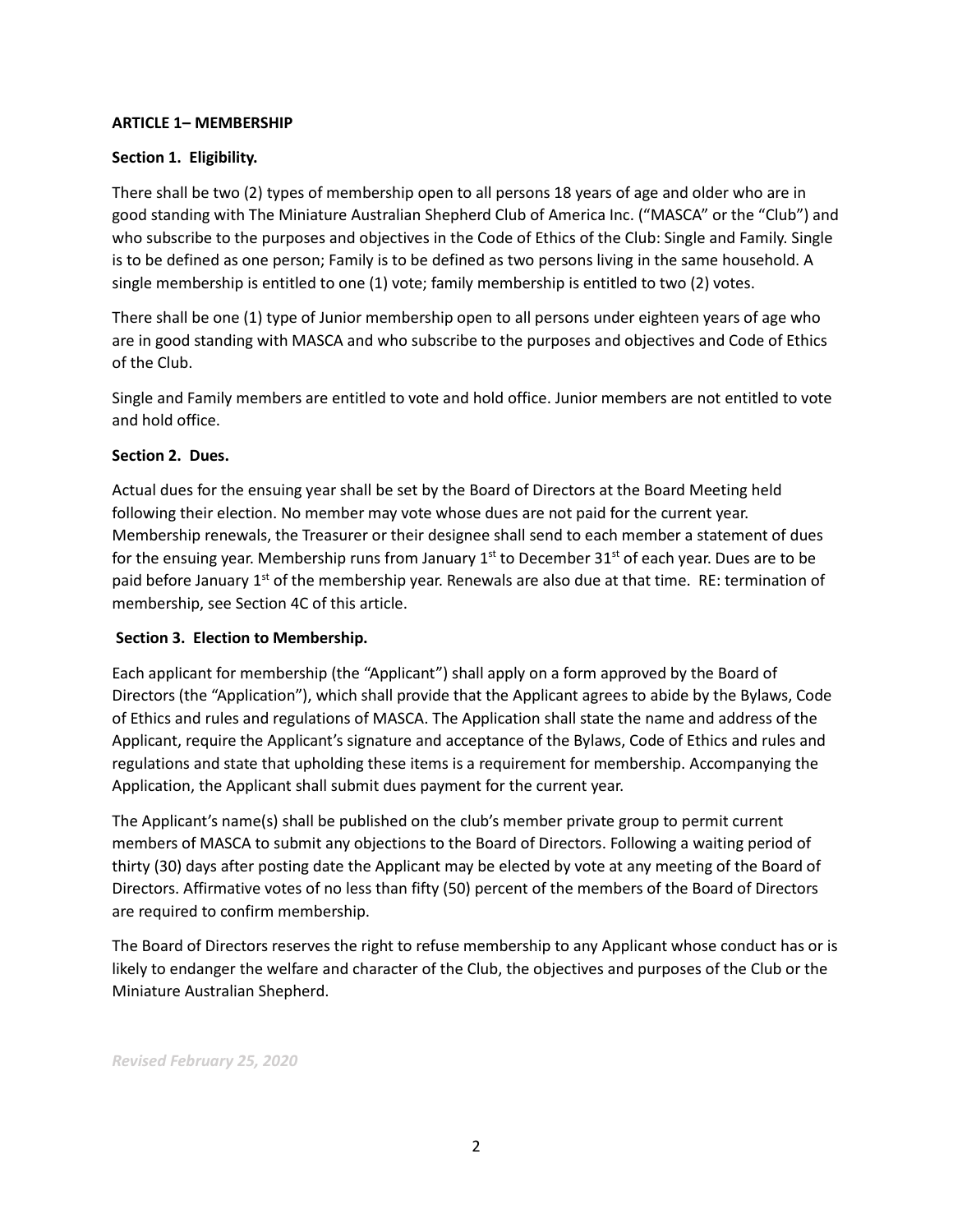# **ARTICLE 1– MEMBERSHIP**

### **Section 1. Eligibility.**

There shall be two (2) types of membership open to all persons 18 years of age and older who are in good standing with The Miniature Australian Shepherd Club of America Inc. ("MASCA" or the "Club") and who subscribe to the purposes and objectives in the Code of Ethics of the Club: Single and Family. Single is to be defined as one person; Family is to be defined as two persons living in the same household. A single membership is entitled to one (1) vote; family membership is entitled to two (2) votes.

There shall be one (1) type of Junior membership open to all persons under eighteen years of age who are in good standing with MASCA and who subscribe to the purposes and objectives and Code of Ethics of the Club.

Single and Family members are entitled to vote and hold office. Junior members are not entitled to vote and hold office.

#### **Section 2. Dues.**

Actual dues for the ensuing year shall be set by the Board of Directors at the Board Meeting held following their election. No member may vote whose dues are not paid for the current year. Membership renewals, the Treasurer or their designee shall send to each member a statement of dues for the ensuing year. Membership runs from January  $1<sup>st</sup>$  to December 31 $<sup>st</sup>$  of each year. Dues are to be</sup> paid before January  $1<sup>st</sup>$  of the membership year. Renewals are also due at that time. RE: termination of membership, see Section 4C of this article.

# **Section 3. Election to Membership.**

Each applicant for membership (the "Applicant") shall apply on a form approved by the Board of Directors (the "Application"), which shall provide that the Applicant agrees to abide by the Bylaws, Code of Ethics and rules and regulations of MASCA. The Application shall state the name and address of the Applicant, require the Applicant's signature and acceptance of the Bylaws, Code of Ethics and rules and regulations and state that upholding these items is a requirement for membership. Accompanying the Application, the Applicant shall submit dues payment for the current year.

The Applicant's name(s) shall be published on the club's member private group to permit current members of MASCA to submit any objections to the Board of Directors. Following a waiting period of thirty (30) days after posting date the Applicant may be elected by vote at any meeting of the Board of Directors. Affirmative votes of no less than fifty (50) percent of the members of the Board of Directors are required to confirm membership.

The Board of Directors reserves the right to refuse membership to any Applicant whose conduct has or is likely to endanger the welfare and character of the Club, the objectives and purposes of the Club or the Miniature Australian Shepherd.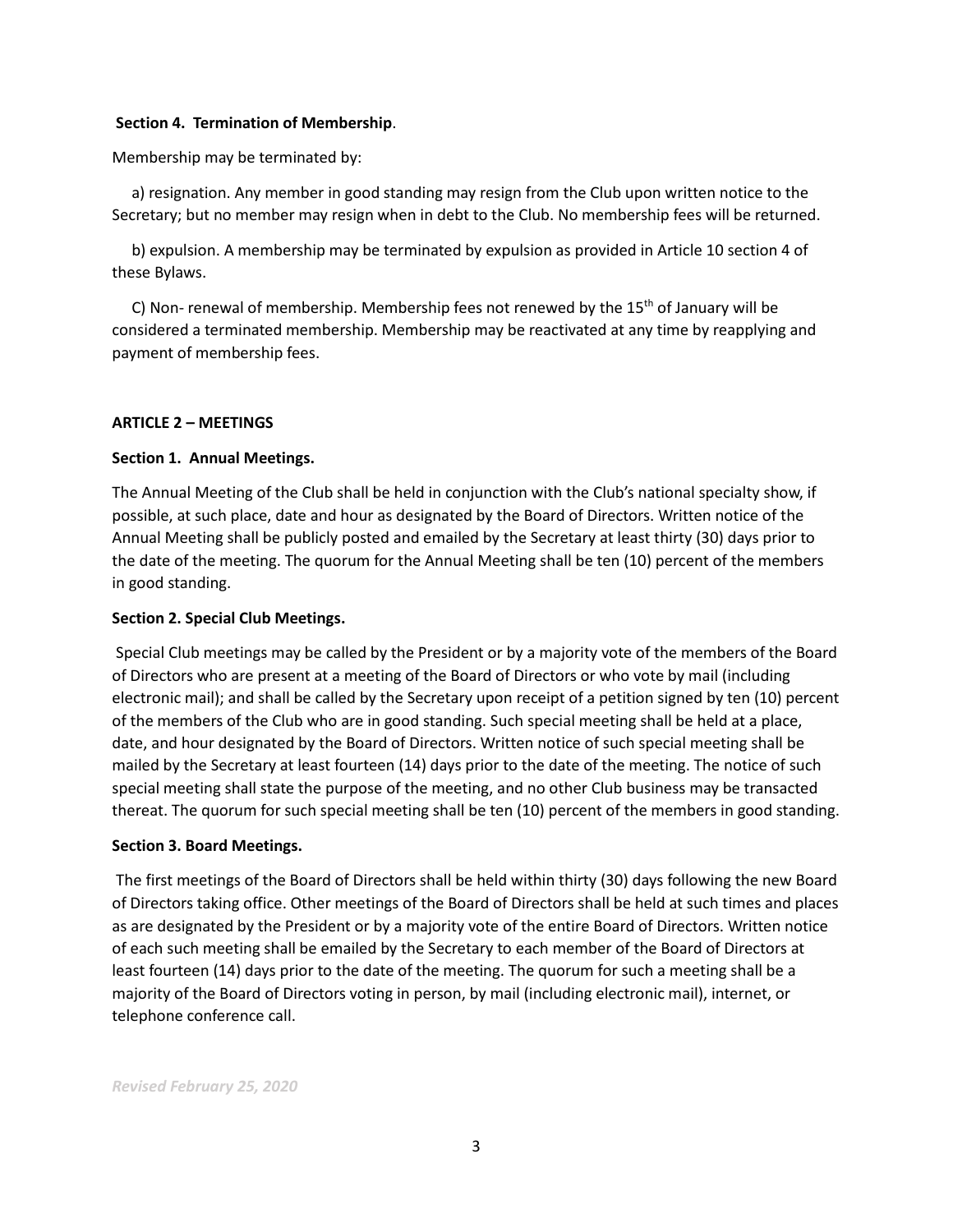#### **Section 4. Termination of Membership**.

Membership may be terminated by:

 a) resignation. Any member in good standing may resign from the Club upon written notice to the Secretary; but no member may resign when in debt to the Club. No membership fees will be returned.

 b) expulsion. A membership may be terminated by expulsion as provided in Article 10 section 4 of these Bylaws.

C) Non- renewal of membership. Membership fees not renewed by the  $15<sup>th</sup>$  of January will be considered a terminated membership. Membership may be reactivated at any time by reapplying and payment of membership fees.

# **ARTICLE 2 – MEETINGS**

# **Section 1. Annual Meetings.**

The Annual Meeting of the Club shall be held in conjunction with the Club's national specialty show, if possible, at such place, date and hour as designated by the Board of Directors. Written notice of the Annual Meeting shall be publicly posted and emailed by the Secretary at least thirty (30) days prior to the date of the meeting. The quorum for the Annual Meeting shall be ten (10) percent of the members in good standing.

#### **Section 2. Special Club Meetings.**

Special Club meetings may be called by the President or by a majority vote of the members of the Board of Directors who are present at a meeting of the Board of Directors or who vote by mail (including electronic mail); and shall be called by the Secretary upon receipt of a petition signed by ten (10) percent of the members of the Club who are in good standing. Such special meeting shall be held at a place, date, and hour designated by the Board of Directors. Written notice of such special meeting shall be mailed by the Secretary at least fourteen (14) days prior to the date of the meeting. The notice of such special meeting shall state the purpose of the meeting, and no other Club business may be transacted thereat. The quorum for such special meeting shall be ten (10) percent of the members in good standing.

# **Section 3. Board Meetings.**

The first meetings of the Board of Directors shall be held within thirty (30) days following the new Board of Directors taking office. Other meetings of the Board of Directors shall be held at such times and places as are designated by the President or by a majority vote of the entire Board of Directors. Written notice of each such meeting shall be emailed by the Secretary to each member of the Board of Directors at least fourteen (14) days prior to the date of the meeting. The quorum for such a meeting shall be a majority of the Board of Directors voting in person, by mail (including electronic mail), internet, or telephone conference call.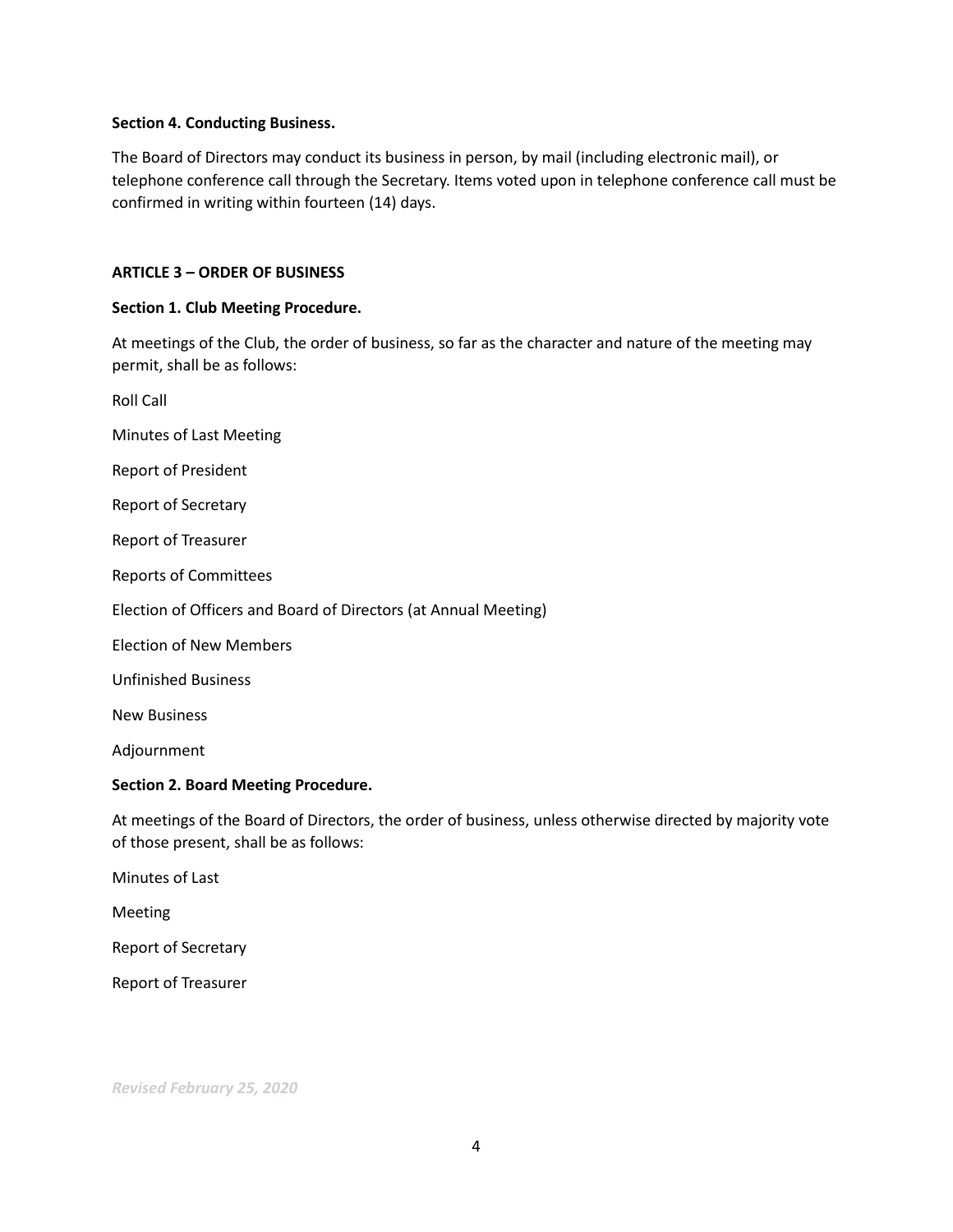#### **Section 4. Conducting Business.**

The Board of Directors may conduct its business in person, by mail (including electronic mail), or telephone conference call through the Secretary. Items voted upon in telephone conference call must be confirmed in writing within fourteen (14) days.

# **ARTICLE 3 – ORDER OF BUSINESS**

# **Section 1. Club Meeting Procedure.**

At meetings of the Club, the order of business, so far as the character and nature of the meeting may permit, shall be as follows:

Roll Call Minutes of Last Meeting Report of President Report of Secretary Report of Treasurer Reports of Committees Election of Officers and Board of Directors (at Annual Meeting) Election of New Members Unfinished Business New Business

Adjournment

# **Section 2. Board Meeting Procedure.**

At meetings of the Board of Directors, the order of business, unless otherwise directed by majority vote of those present, shall be as follows:

Minutes of Last Meeting Report of Secretary Report of Treasurer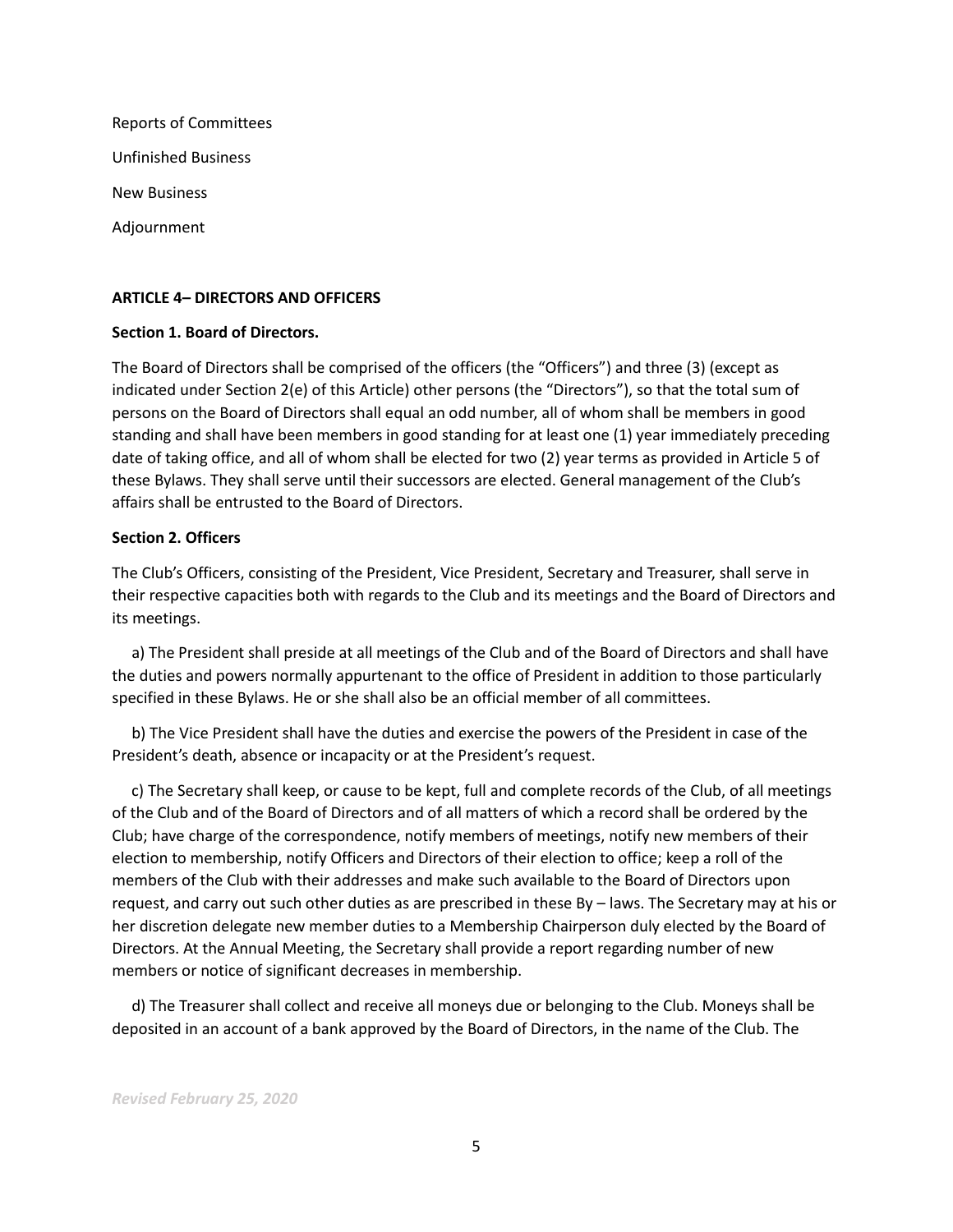| <b>Reports of Committees</b> |
|------------------------------|
| <b>Unfinished Business</b>   |
| <b>New Business</b>          |
| Adjournment                  |

#### **ARTICLE 4– DIRECTORS AND OFFICERS**

#### **Section 1. Board of Directors.**

The Board of Directors shall be comprised of the officers (the "Officers") and three (3) (except as indicated under Section 2(e) of this Article) other persons (the "Directors"), so that the total sum of persons on the Board of Directors shall equal an odd number, all of whom shall be members in good standing and shall have been members in good standing for at least one (1) year immediately preceding date of taking office, and all of whom shall be elected for two (2) year terms as provided in Article 5 of these Bylaws. They shall serve until their successors are elected. General management of the Club's affairs shall be entrusted to the Board of Directors.

#### **Section 2. Officers**

The Club's Officers, consisting of the President, Vice President, Secretary and Treasurer, shall serve in their respective capacities both with regards to the Club and its meetings and the Board of Directors and its meetings.

 a) The President shall preside at all meetings of the Club and of the Board of Directors and shall have the duties and powers normally appurtenant to the office of President in addition to those particularly specified in these Bylaws. He or she shall also be an official member of all committees.

 b) The Vice President shall have the duties and exercise the powers of the President in case of the President's death, absence or incapacity or at the President's request.

 c) The Secretary shall keep, or cause to be kept, full and complete records of the Club, of all meetings of the Club and of the Board of Directors and of all matters of which a record shall be ordered by the Club; have charge of the correspondence, notify members of meetings, notify new members of their election to membership, notify Officers and Directors of their election to office; keep a roll of the members of the Club with their addresses and make such available to the Board of Directors upon request, and carry out such other duties as are prescribed in these By – laws. The Secretary may at his or her discretion delegate new member duties to a Membership Chairperson duly elected by the Board of Directors. At the Annual Meeting, the Secretary shall provide a report regarding number of new members or notice of significant decreases in membership.

 d) The Treasurer shall collect and receive all moneys due or belonging to the Club. Moneys shall be deposited in an account of a bank approved by the Board of Directors, in the name of the Club. The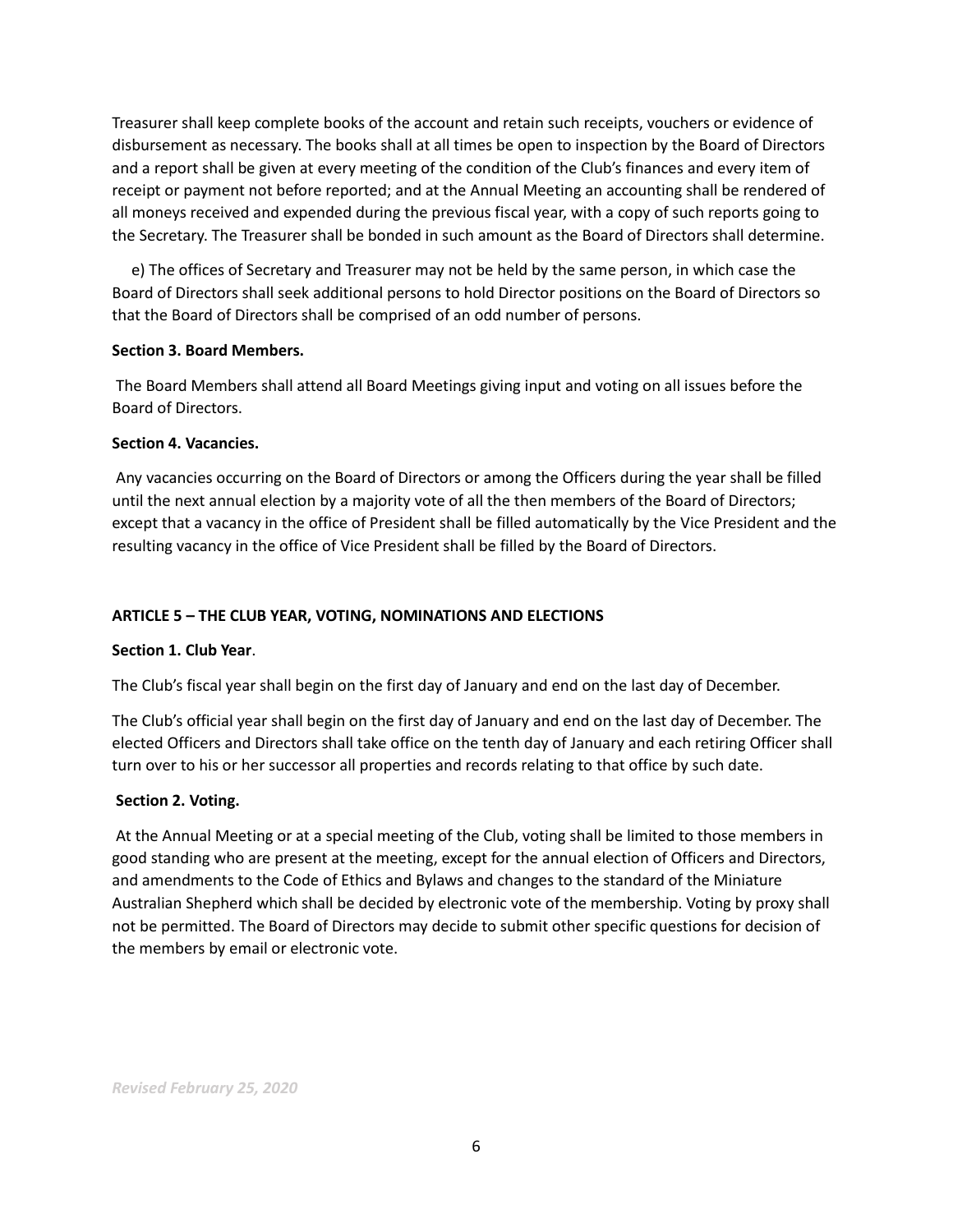Treasurer shall keep complete books of the account and retain such receipts, vouchers or evidence of disbursement as necessary. The books shall at all times be open to inspection by the Board of Directors and a report shall be given at every meeting of the condition of the Club's finances and every item of receipt or payment not before reported; and at the Annual Meeting an accounting shall be rendered of all moneys received and expended during the previous fiscal year, with a copy of such reports going to the Secretary. The Treasurer shall be bonded in such amount as the Board of Directors shall determine.

 e) The offices of Secretary and Treasurer may not be held by the same person, in which case the Board of Directors shall seek additional persons to hold Director positions on the Board of Directors so that the Board of Directors shall be comprised of an odd number of persons.

# **Section 3. Board Members.**

The Board Members shall attend all Board Meetings giving input and voting on all issues before the Board of Directors.

#### **Section 4. Vacancies.**

Any vacancies occurring on the Board of Directors or among the Officers during the year shall be filled until the next annual election by a majority vote of all the then members of the Board of Directors; except that a vacancy in the office of President shall be filled automatically by the Vice President and the resulting vacancy in the office of Vice President shall be filled by the Board of Directors.

# **ARTICLE 5 – THE CLUB YEAR, VOTING, NOMINATIONS AND ELECTIONS**

# **Section 1. Club Year**.

The Club's fiscal year shall begin on the first day of January and end on the last day of December.

The Club's official year shall begin on the first day of January and end on the last day of December. The elected Officers and Directors shall take office on the tenth day of January and each retiring Officer shall turn over to his or her successor all properties and records relating to that office by such date.

# **Section 2. Voting.**

At the Annual Meeting or at a special meeting of the Club, voting shall be limited to those members in good standing who are present at the meeting, except for the annual election of Officers and Directors, and amendments to the Code of Ethics and Bylaws and changes to the standard of the Miniature Australian Shepherd which shall be decided by electronic vote of the membership. Voting by proxy shall not be permitted. The Board of Directors may decide to submit other specific questions for decision of the members by email or electronic vote.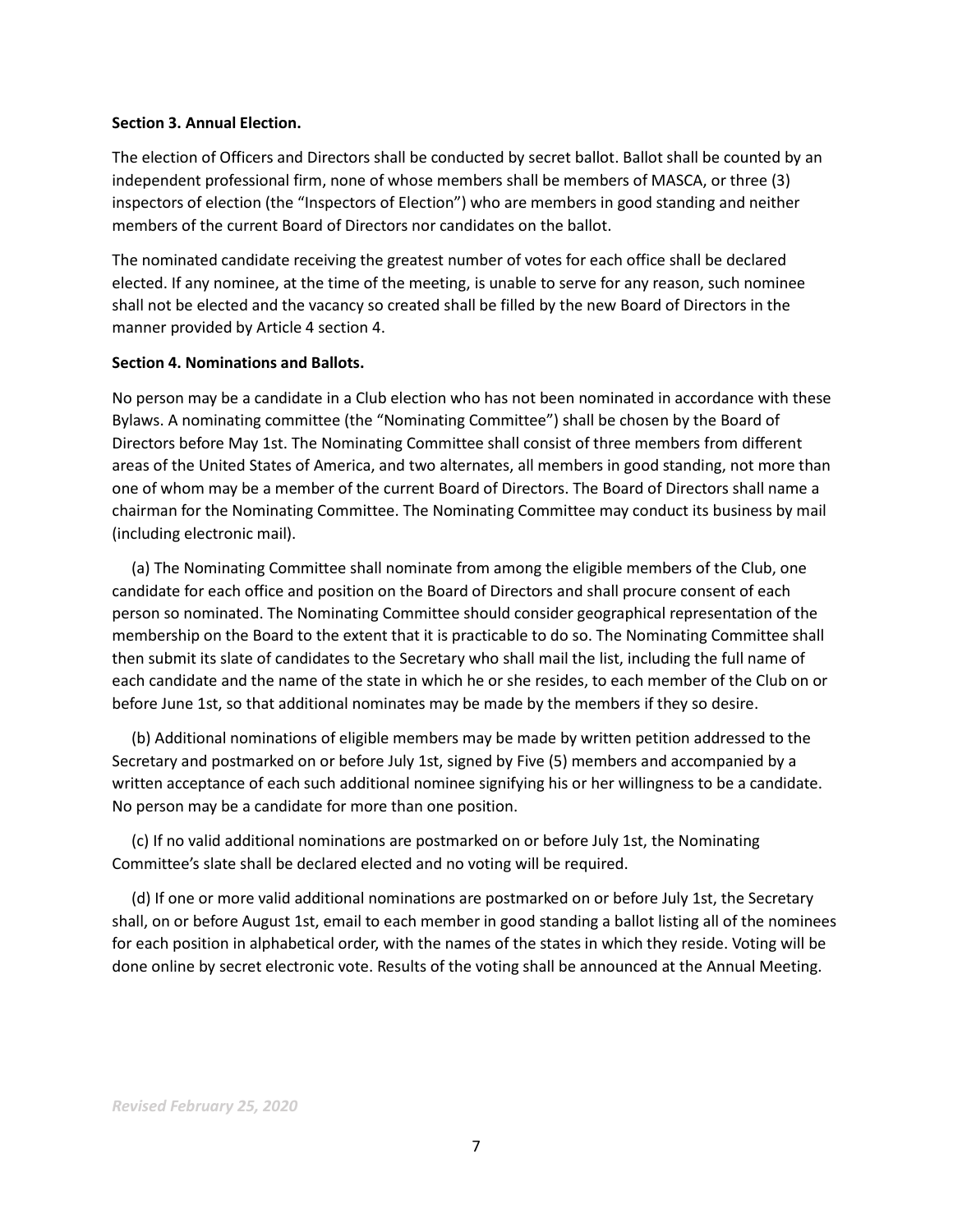#### **Section 3. Annual Election.**

The election of Officers and Directors shall be conducted by secret ballot. Ballot shall be counted by an independent professional firm, none of whose members shall be members of MASCA, or three (3) inspectors of election (the "Inspectors of Election") who are members in good standing and neither members of the current Board of Directors nor candidates on the ballot.

The nominated candidate receiving the greatest number of votes for each office shall be declared elected. If any nominee, at the time of the meeting, is unable to serve for any reason, such nominee shall not be elected and the vacancy so created shall be filled by the new Board of Directors in the manner provided by Article 4 section 4.

#### **Section 4. Nominations and Ballots.**

No person may be a candidate in a Club election who has not been nominated in accordance with these Bylaws. A nominating committee (the "Nominating Committee") shall be chosen by the Board of Directors before May 1st. The Nominating Committee shall consist of three members from different areas of the United States of America, and two alternates, all members in good standing, not more than one of whom may be a member of the current Board of Directors. The Board of Directors shall name a chairman for the Nominating Committee. The Nominating Committee may conduct its business by mail (including electronic mail).

 (a) The Nominating Committee shall nominate from among the eligible members of the Club, one candidate for each office and position on the Board of Directors and shall procure consent of each person so nominated. The Nominating Committee should consider geographical representation of the membership on the Board to the extent that it is practicable to do so. The Nominating Committee shall then submit its slate of candidates to the Secretary who shall mail the list, including the full name of each candidate and the name of the state in which he or she resides, to each member of the Club on or before June 1st, so that additional nominates may be made by the members if they so desire.

 (b) Additional nominations of eligible members may be made by written petition addressed to the Secretary and postmarked on or before July 1st, signed by Five (5) members and accompanied by a written acceptance of each such additional nominee signifying his or her willingness to be a candidate. No person may be a candidate for more than one position.

 (c) If no valid additional nominations are postmarked on or before July 1st, the Nominating Committee's slate shall be declared elected and no voting will be required.

 (d) If one or more valid additional nominations are postmarked on or before July 1st, the Secretary shall, on or before August 1st, email to each member in good standing a ballot listing all of the nominees for each position in alphabetical order, with the names of the states in which they reside. Voting will be done online by secret electronic vote. Results of the voting shall be announced at the Annual Meeting.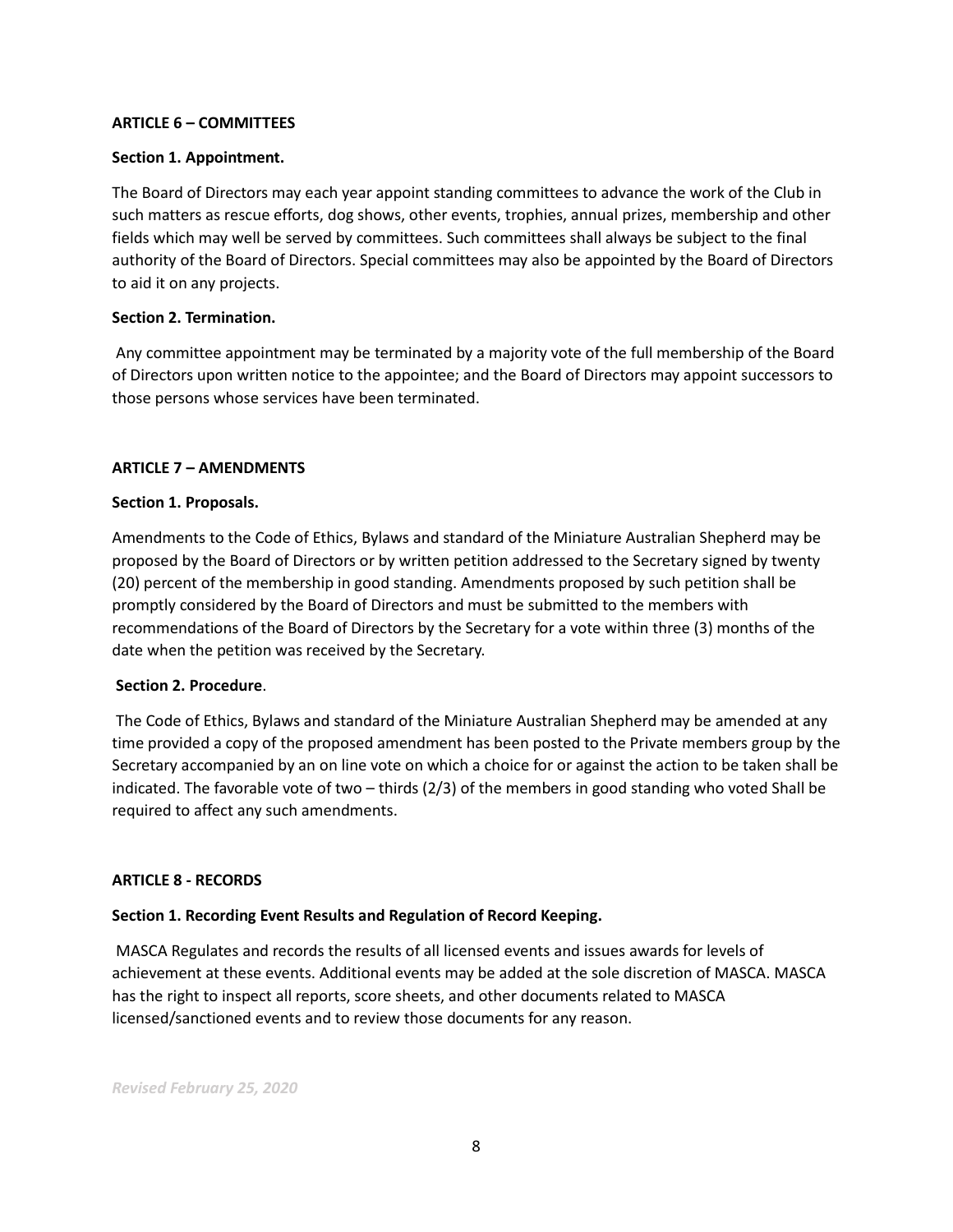# **ARTICLE 6 – COMMITTEES**

#### **Section 1. Appointment.**

The Board of Directors may each year appoint standing committees to advance the work of the Club in such matters as rescue efforts, dog shows, other events, trophies, annual prizes, membership and other fields which may well be served by committees. Such committees shall always be subject to the final authority of the Board of Directors. Special committees may also be appointed by the Board of Directors to aid it on any projects.

#### **Section 2. Termination.**

Any committee appointment may be terminated by a majority vote of the full membership of the Board of Directors upon written notice to the appointee; and the Board of Directors may appoint successors to those persons whose services have been terminated.

#### **ARTICLE 7 – AMENDMENTS**

#### **Section 1. Proposals.**

Amendments to the Code of Ethics, Bylaws and standard of the Miniature Australian Shepherd may be proposed by the Board of Directors or by written petition addressed to the Secretary signed by twenty (20) percent of the membership in good standing. Amendments proposed by such petition shall be promptly considered by the Board of Directors and must be submitted to the members with recommendations of the Board of Directors by the Secretary for a vote within three (3) months of the date when the petition was received by the Secretary.

#### **Section 2. Procedure**.

The Code of Ethics, Bylaws and standard of the Miniature Australian Shepherd may be amended at any time provided a copy of the proposed amendment has been posted to the Private members group by the Secretary accompanied by an on line vote on which a choice for or against the action to be taken shall be indicated. The favorable vote of two – thirds (2/3) of the members in good standing who voted Shall be required to affect any such amendments.

#### **ARTICLE 8 - RECORDS**

# **Section 1. Recording Event Results and Regulation of Record Keeping.**

MASCA Regulates and records the results of all licensed events and issues awards for levels of achievement at these events. Additional events may be added at the sole discretion of MASCA. MASCA has the right to inspect all reports, score sheets, and other documents related to MASCA licensed/sanctioned events and to review those documents for any reason.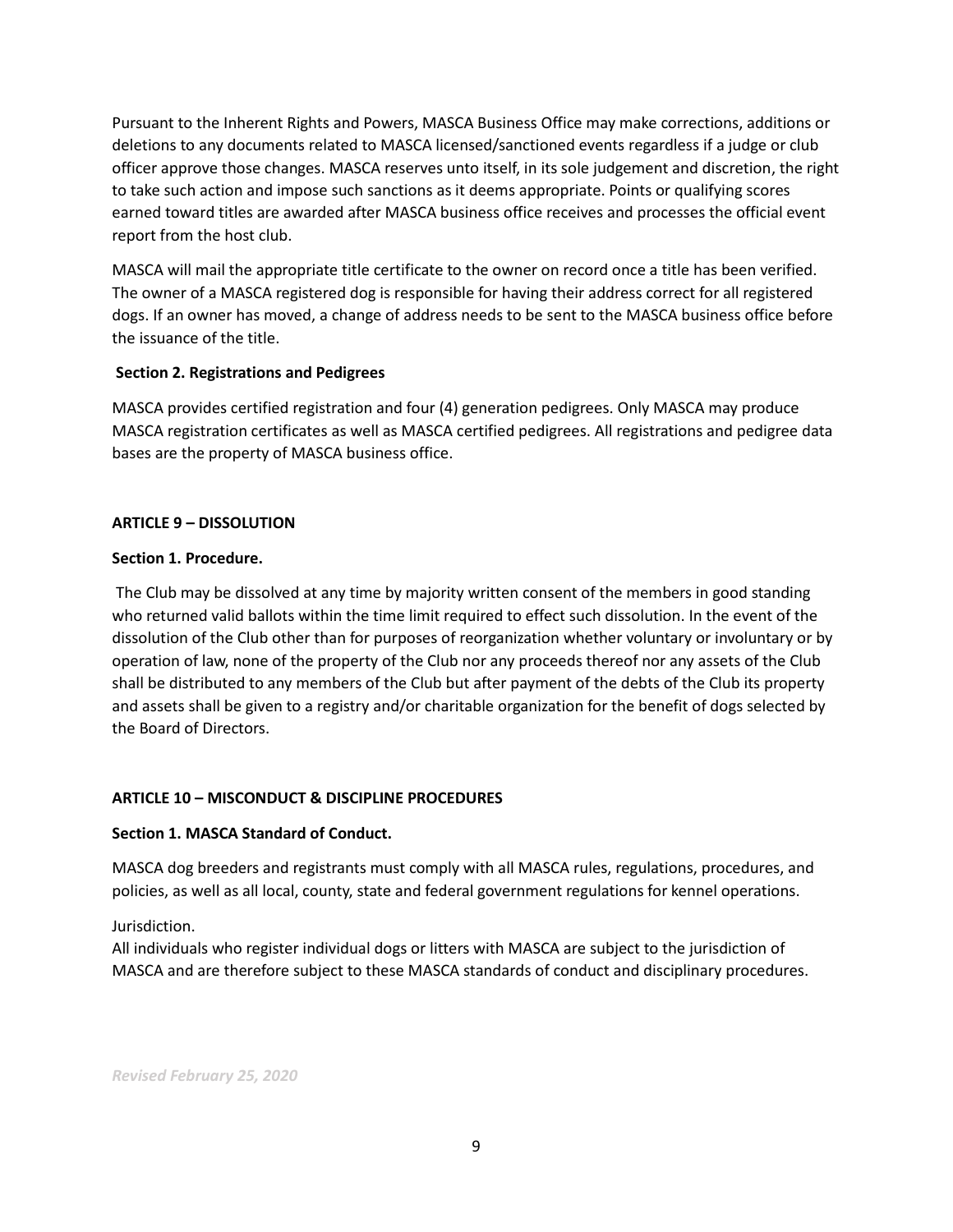Pursuant to the Inherent Rights and Powers, MASCA Business Office may make corrections, additions or deletions to any documents related to MASCA licensed/sanctioned events regardless if a judge or club officer approve those changes. MASCA reserves unto itself, in its sole judgement and discretion, the right to take such action and impose such sanctions as it deems appropriate. Points or qualifying scores earned toward titles are awarded after MASCA business office receives and processes the official event report from the host club.

MASCA will mail the appropriate title certificate to the owner on record once a title has been verified. The owner of a MASCA registered dog is responsible for having their address correct for all registered dogs. If an owner has moved, a change of address needs to be sent to the MASCA business office before the issuance of the title.

# **Section 2. Registrations and Pedigrees**

MASCA provides certified registration and four (4) generation pedigrees. Only MASCA may produce MASCA registration certificates as well as MASCA certified pedigrees. All registrations and pedigree data bases are the property of MASCA business office.

# **ARTICLE 9 – DISSOLUTION**

# **Section 1. Procedure.**

The Club may be dissolved at any time by majority written consent of the members in good standing who returned valid ballots within the time limit required to effect such dissolution. In the event of the dissolution of the Club other than for purposes of reorganization whether voluntary or involuntary or by operation of law, none of the property of the Club nor any proceeds thereof nor any assets of the Club shall be distributed to any members of the Club but after payment of the debts of the Club its property and assets shall be given to a registry and/or charitable organization for the benefit of dogs selected by the Board of Directors.

# **ARTICLE 10 – MISCONDUCT & DISCIPLINE PROCEDURES**

# **Section 1. MASCA Standard of Conduct.**

MASCA dog breeders and registrants must comply with all MASCA rules, regulations, procedures, and policies, as well as all local, county, state and federal government regulations for kennel operations.

# Jurisdiction.

All individuals who register individual dogs or litters with MASCA are subject to the jurisdiction of MASCA and are therefore subject to these MASCA standards of conduct and disciplinary procedures.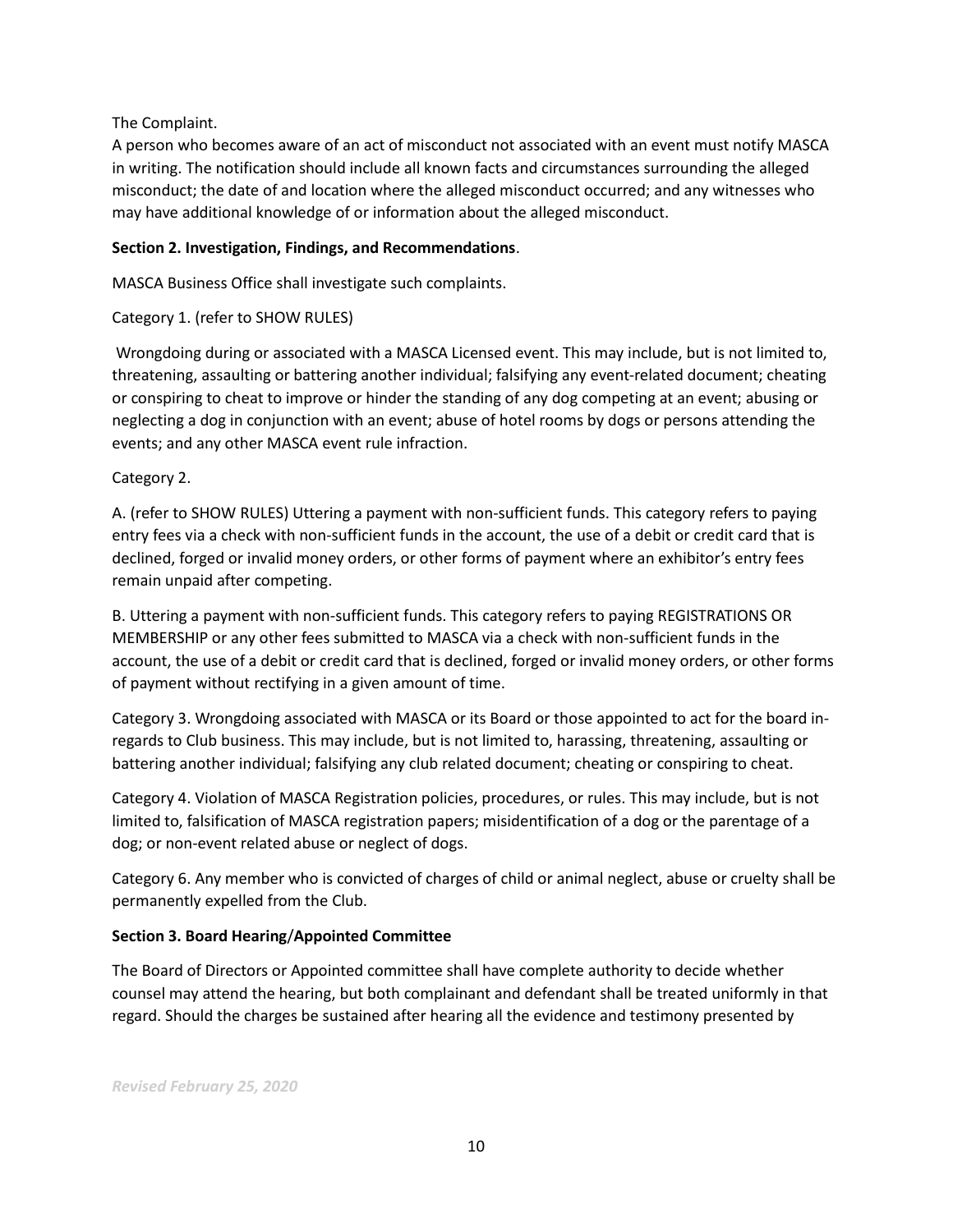# The Complaint.

A person who becomes aware of an act of misconduct not associated with an event must notify MASCA in writing. The notification should include all known facts and circumstances surrounding the alleged misconduct; the date of and location where the alleged misconduct occurred; and any witnesses who may have additional knowledge of or information about the alleged misconduct.

# **Section 2. Investigation, Findings, and Recommendations**.

MASCA Business Office shall investigate such complaints.

# Category 1. (refer to SHOW RULES)

Wrongdoing during or associated with a MASCA Licensed event. This may include, but is not limited to, threatening, assaulting or battering another individual; falsifying any event-related document; cheating or conspiring to cheat to improve or hinder the standing of any dog competing at an event; abusing or neglecting a dog in conjunction with an event; abuse of hotel rooms by dogs or persons attending the events; and any other MASCA event rule infraction.

Category 2.

A. (refer to SHOW RULES) Uttering a payment with non-sufficient funds. This category refers to paying entry fees via a check with non-sufficient funds in the account, the use of a debit or credit card that is declined, forged or invalid money orders, or other forms of payment where an exhibitor's entry fees remain unpaid after competing.

B. Uttering a payment with non-sufficient funds. This category refers to paying REGISTRATIONS OR MEMBERSHIP or any other fees submitted to MASCA via a check with non-sufficient funds in the account, the use of a debit or credit card that is declined, forged or invalid money orders, or other forms of payment without rectifying in a given amount of time.

Category 3. Wrongdoing associated with MASCA or its Board or those appointed to act for the board inregards to Club business. This may include, but is not limited to, harassing, threatening, assaulting or battering another individual; falsifying any club related document; cheating or conspiring to cheat.

Category 4. Violation of MASCA Registration policies, procedures, or rules. This may include, but is not limited to, falsification of MASCA registration papers; misidentification of a dog or the parentage of a dog; or non-event related abuse or neglect of dogs.

Category 6. Any member who is convicted of charges of child or animal neglect, abuse or cruelty shall be permanently expelled from the Club.

# **Section 3. Board Hearing**/**Appointed Committee**

The Board of Directors or Appointed committee shall have complete authority to decide whether counsel may attend the hearing, but both complainant and defendant shall be treated uniformly in that regard. Should the charges be sustained after hearing all the evidence and testimony presented by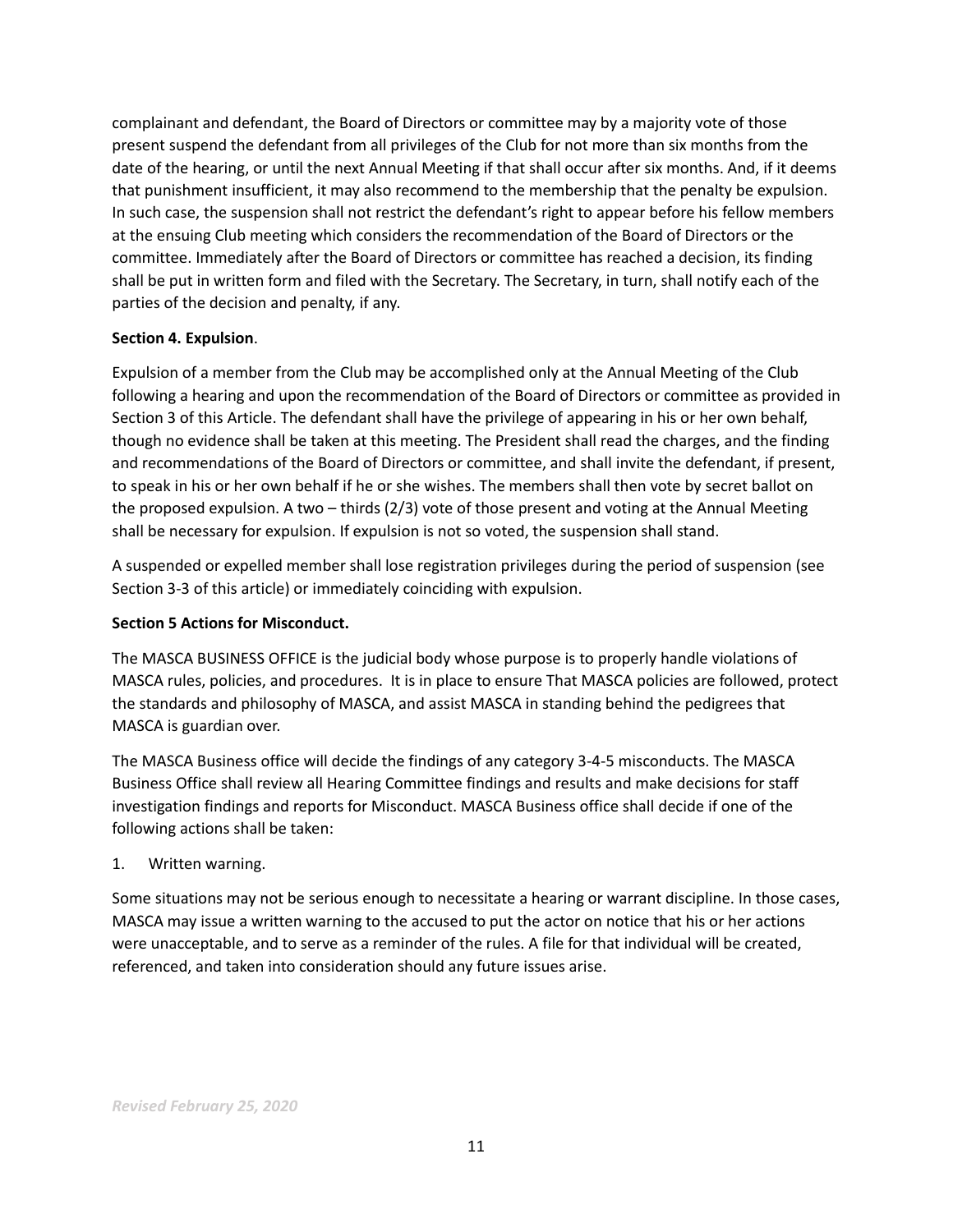complainant and defendant, the Board of Directors or committee may by a majority vote of those present suspend the defendant from all privileges of the Club for not more than six months from the date of the hearing, or until the next Annual Meeting if that shall occur after six months. And, if it deems that punishment insufficient, it may also recommend to the membership that the penalty be expulsion. In such case, the suspension shall not restrict the defendant's right to appear before his fellow members at the ensuing Club meeting which considers the recommendation of the Board of Directors or the committee. Immediately after the Board of Directors or committee has reached a decision, its finding shall be put in written form and filed with the Secretary. The Secretary, in turn, shall notify each of the parties of the decision and penalty, if any.

# **Section 4. Expulsion**.

Expulsion of a member from the Club may be accomplished only at the Annual Meeting of the Club following a hearing and upon the recommendation of the Board of Directors or committee as provided in Section 3 of this Article. The defendant shall have the privilege of appearing in his or her own behalf, though no evidence shall be taken at this meeting. The President shall read the charges, and the finding and recommendations of the Board of Directors or committee, and shall invite the defendant, if present, to speak in his or her own behalf if he or she wishes. The members shall then vote by secret ballot on the proposed expulsion. A two – thirds (2/3) vote of those present and voting at the Annual Meeting shall be necessary for expulsion. If expulsion is not so voted, the suspension shall stand.

A suspended or expelled member shall lose registration privileges during the period of suspension (see Section 3-3 of this article) or immediately coinciding with expulsion.

# **Section 5 Actions for Misconduct.**

The MASCA BUSINESS OFFICE is the judicial body whose purpose is to properly handle violations of MASCA rules, policies, and procedures. It is in place to ensure That MASCA policies are followed, protect the standards and philosophy of MASCA, and assist MASCA in standing behind the pedigrees that MASCA is guardian over.

The MASCA Business office will decide the findings of any category 3-4-5 misconducts. The MASCA Business Office shall review all Hearing Committee findings and results and make decisions for staff investigation findings and reports for Misconduct. MASCA Business office shall decide if one of the following actions shall be taken:

# 1. Written warning.

Some situations may not be serious enough to necessitate a hearing or warrant discipline. In those cases, MASCA may issue a written warning to the accused to put the actor on notice that his or her actions were unacceptable, and to serve as a reminder of the rules. A file for that individual will be created, referenced, and taken into consideration should any future issues arise.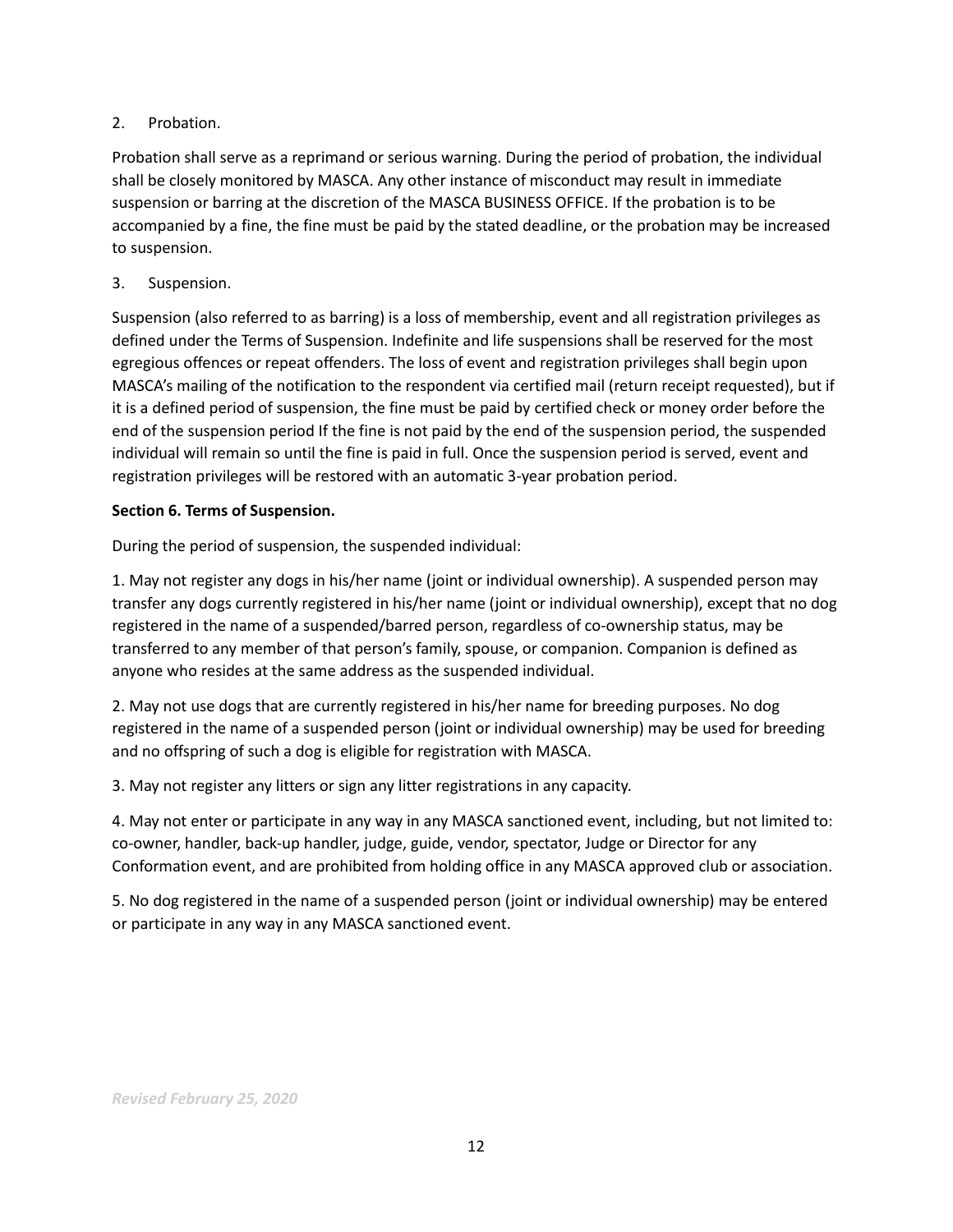# 2. Probation.

Probation shall serve as a reprimand or serious warning. During the period of probation, the individual shall be closely monitored by MASCA. Any other instance of misconduct may result in immediate suspension or barring at the discretion of the MASCA BUSINESS OFFICE. If the probation is to be accompanied by a fine, the fine must be paid by the stated deadline, or the probation may be increased to suspension.

# 3. Suspension.

Suspension (also referred to as barring) is a loss of membership, event and all registration privileges as defined under the Terms of Suspension. Indefinite and life suspensions shall be reserved for the most egregious offences or repeat offenders. The loss of event and registration privileges shall begin upon MASCA's mailing of the notification to the respondent via certified mail (return receipt requested), but if it is a defined period of suspension, the fine must be paid by certified check or money order before the end of the suspension period If the fine is not paid by the end of the suspension period, the suspended individual will remain so until the fine is paid in full. Once the suspension period is served, event and registration privileges will be restored with an automatic 3-year probation period.

# **Section 6. Terms of Suspension.**

During the period of suspension, the suspended individual:

1. May not register any dogs in his/her name (joint or individual ownership). A suspended person may transfer any dogs currently registered in his/her name (joint or individual ownership), except that no dog registered in the name of a suspended/barred person, regardless of co-ownership status, may be transferred to any member of that person's family, spouse, or companion. Companion is defined as anyone who resides at the same address as the suspended individual.

2. May not use dogs that are currently registered in his/her name for breeding purposes. No dog registered in the name of a suspended person (joint or individual ownership) may be used for breeding and no offspring of such a dog is eligible for registration with MASCA.

3. May not register any litters or sign any litter registrations in any capacity.

4. May not enter or participate in any way in any MASCA sanctioned event, including, but not limited to: co-owner, handler, back-up handler, judge, guide, vendor, spectator, Judge or Director for any Conformation event, and are prohibited from holding office in any MASCA approved club or association.

5. No dog registered in the name of a suspended person (joint or individual ownership) may be entered or participate in any way in any MASCA sanctioned event.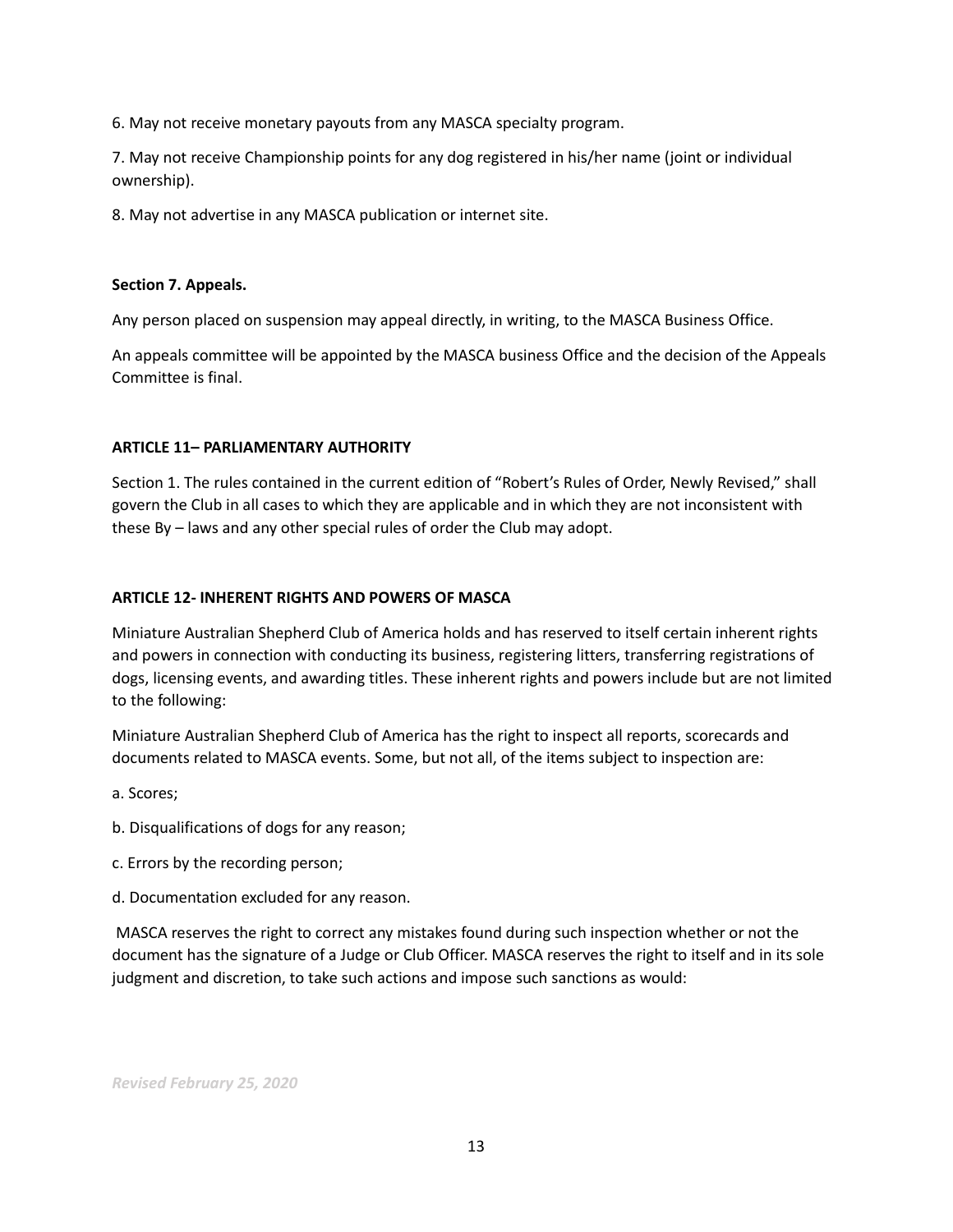6. May not receive monetary payouts from any MASCA specialty program.

7. May not receive Championship points for any dog registered in his/her name (joint or individual ownership).

8. May not advertise in any MASCA publication or internet site.

# **Section 7. Appeals.**

Any person placed on suspension may appeal directly, in writing, to the MASCA Business Office.

An appeals committee will be appointed by the MASCA business Office and the decision of the Appeals Committee is final.

# **ARTICLE 11– PARLIAMENTARY AUTHORITY**

Section 1. The rules contained in the current edition of "Robert's Rules of Order, Newly Revised," shall govern the Club in all cases to which they are applicable and in which they are not inconsistent with these By – laws and any other special rules of order the Club may adopt.

# **ARTICLE 12- INHERENT RIGHTS AND POWERS OF MASCA**

Miniature Australian Shepherd Club of America holds and has reserved to itself certain inherent rights and powers in connection with conducting its business, registering litters, transferring registrations of dogs, licensing events, and awarding titles. These inherent rights and powers include but are not limited to the following:

Miniature Australian Shepherd Club of America has the right to inspect all reports, scorecards and documents related to MASCA events. Some, but not all, of the items subject to inspection are:

- a. Scores;
- b. Disqualifications of dogs for any reason;
- c. Errors by the recording person;
- d. Documentation excluded for any reason.

MASCA reserves the right to correct any mistakes found during such inspection whether or not the document has the signature of a Judge or Club Officer. MASCA reserves the right to itself and in its sole judgment and discretion, to take such actions and impose such sanctions as would: